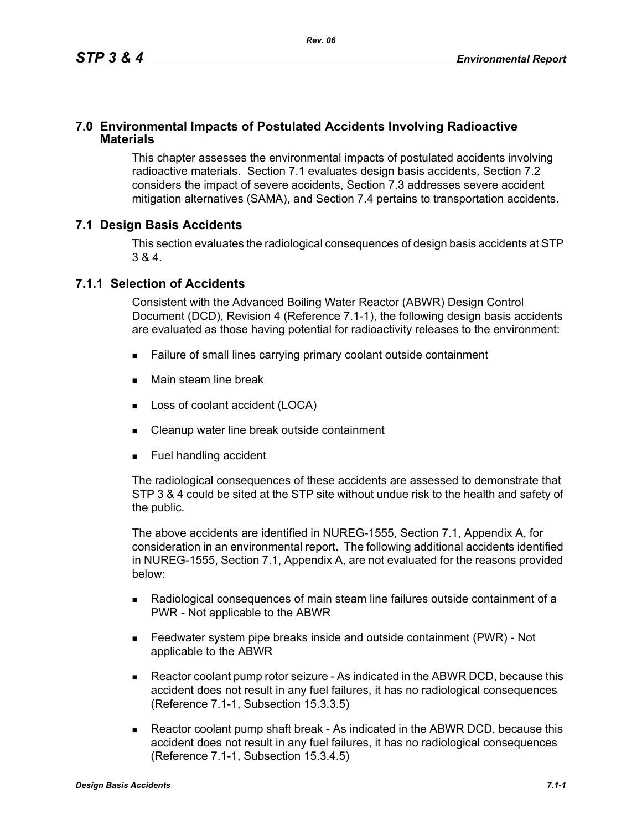## **7.0 Environmental Impacts of Postulated Accidents Involving Radioactive Materials**

This chapter assesses the environmental impacts of postulated accidents involving radioactive materials. Section 7.1 evaluates design basis accidents, Section 7.2 considers the impact of severe accidents, Section 7.3 addresses severe accident mitigation alternatives (SAMA), and Section 7.4 pertains to transportation accidents.

# **7.1 Design Basis Accidents**

This section evaluates the radiological consequences of design basis accidents at STP 3 & 4.

## **7.1.1 Selection of Accidents**

Consistent with the Advanced Boiling Water Reactor (ABWR) Design Control Document (DCD), Revision 4 (Reference 7.1-1), the following design basis accidents are evaluated as those having potential for radioactivity releases to the environment:

- Failure of small lines carrying primary coolant outside containment
- **Main steam line break**
- **Loss of coolant accident (LOCA)**
- Cleanup water line break outside containment
- **Fuel handling accident**

The radiological consequences of these accidents are assessed to demonstrate that STP 3 & 4 could be sited at the STP site without undue risk to the health and safety of the public.

The above accidents are identified in NUREG-1555, Section 7.1, Appendix A, for consideration in an environmental report. The following additional accidents identified in NUREG-1555, Section 7.1, Appendix A, are not evaluated for the reasons provided below:

- Radiological consequences of main steam line failures outside containment of a PWR - Not applicable to the ABWR
- Feedwater system pipe breaks inside and outside containment (PWR) Not applicable to the ABWR
- Reactor coolant pump rotor seizure As indicated in the ABWR DCD, because this accident does not result in any fuel failures, it has no radiological consequences (Reference 7.1-1, Subsection 15.3.3.5)
- Reactor coolant pump shaft break As indicated in the ABWR DCD, because this accident does not result in any fuel failures, it has no radiological consequences (Reference 7.1-1, Subsection 15.3.4.5)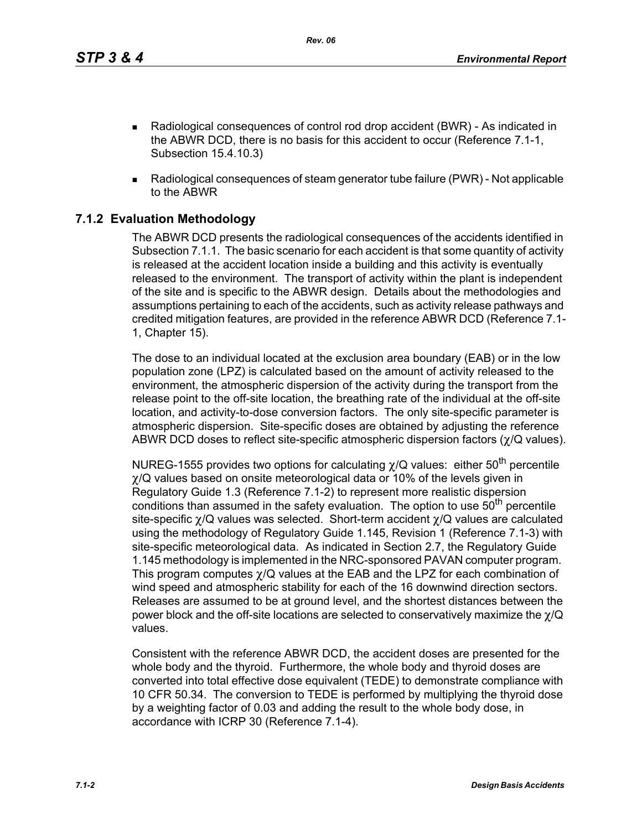*Rev. 06*

- Radiological consequences of control rod drop accident (BWR) As indicated in the ABWR DCD, there is no basis for this accident to occur (Reference 7.1-1, Subsection 15.4.10.3)
- Radiological consequences of steam generator tube failure (PWR) Not applicable to the ABWR

# **7.1.2 Evaluation Methodology**

The ABWR DCD presents the radiological consequences of the accidents identified in Subsection 7.1.1. The basic scenario for each accident is that some quantity of activity is released at the accident location inside a building and this activity is eventually released to the environment. The transport of activity within the plant is independent of the site and is specific to the ABWR design. Details about the methodologies and assumptions pertaining to each of the accidents, such as activity release pathways and credited mitigation features, are provided in the reference ABWR DCD (Reference 7.1- 1, Chapter 15).

The dose to an individual located at the exclusion area boundary (EAB) or in the low population zone (LPZ) is calculated based on the amount of activity released to the environment, the atmospheric dispersion of the activity during the transport from the release point to the off-site location, the breathing rate of the individual at the off-site location, and activity-to-dose conversion factors. The only site-specific parameter is atmospheric dispersion. Site-specific doses are obtained by adjusting the reference ABWR DCD doses to reflect site-specific atmospheric dispersion factors (χ/Q values).

NUREG-1555 provides two options for calculating  $\chi$ /Q values: either 50<sup>th</sup> percentile χ/Q values based on onsite meteorological data or 10% of the levels given in Regulatory Guide 1.3 (Reference 7.1-2) to represent more realistic dispersion conditions than assumed in the safety evaluation. The option to use  $50<sup>th</sup>$  percentile site-specific χ/Q values was selected. Short-term accident χ/Q values are calculated using the methodology of Regulatory Guide 1.145, Revision 1 (Reference 7.1-3) with site-specific meteorological data. As indicated in Section 2.7, the Regulatory Guide 1.145 methodology is implemented in the NRC-sponsored PAVAN computer program. This program computes χ/Q values at the EAB and the LPZ for each combination of wind speed and atmospheric stability for each of the 16 downwind direction sectors. Releases are assumed to be at ground level, and the shortest distances between the power block and the off-site locations are selected to conservatively maximize the  $\chi$ /Q values.

Consistent with the reference ABWR DCD, the accident doses are presented for the whole body and the thyroid. Furthermore, the whole body and thyroid doses are converted into total effective dose equivalent (TEDE) to demonstrate compliance with 10 CFR 50.34. The conversion to TEDE is performed by multiplying the thyroid dose by a weighting factor of 0.03 and adding the result to the whole body dose, in accordance with ICRP 30 (Reference 7.1-4).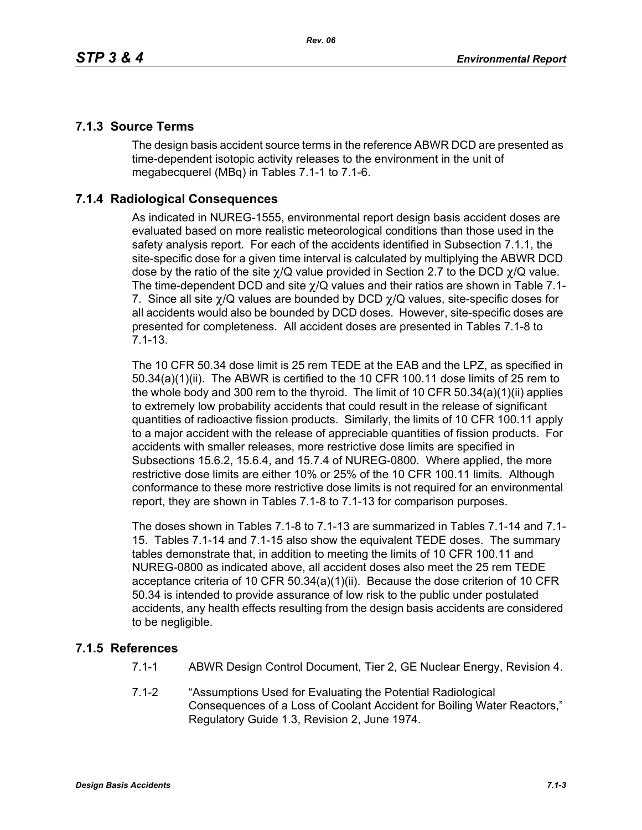# **7.1.3 Source Terms**

The design basis accident source terms in the reference ABWR DCD are presented as time-dependent isotopic activity releases to the environment in the unit of megabecquerel (MBq) in Tables 7.1-1 to 7.1-6.

# **7.1.4 Radiological Consequences**

As indicated in NUREG-1555, environmental report design basis accident doses are evaluated based on more realistic meteorological conditions than those used in the safety analysis report. For each of the accidents identified in Subsection 7.1.1, the site-specific dose for a given time interval is calculated by multiplying the ABWR DCD dose by the ratio of the site  $\chi$ /Q value provided in Section 2.7 to the DCD  $\chi$ /Q value. The time-dependent DCD and site  $\gamma$ /Q values and their ratios are shown in Table 7.1-7. Since all site  $\chi$ /Q values are bounded by DCD  $\chi$ /Q values, site-specific doses for all accidents would also be bounded by DCD doses. However, site-specific doses are presented for completeness. All accident doses are presented in Tables 7.1-8 to 7.1-13.

The 10 CFR 50.34 dose limit is 25 rem TEDE at the EAB and the LPZ, as specified in 50.34(a)(1)(ii). The ABWR is certified to the 10 CFR 100.11 dose limits of 25 rem to the whole body and 300 rem to the thyroid. The limit of 10 CFR 50.34(a)(1)(ii) applies to extremely low probability accidents that could result in the release of significant quantities of radioactive fission products. Similarly, the limits of 10 CFR 100.11 apply to a major accident with the release of appreciable quantities of fission products. For accidents with smaller releases, more restrictive dose limits are specified in Subsections 15.6.2, 15.6.4, and 15.7.4 of NUREG-0800. Where applied, the more restrictive dose limits are either 10% or 25% of the 10 CFR 100.11 limits. Although conformance to these more restrictive dose limits is not required for an environmental report, they are shown in Tables 7.1-8 to 7.1-13 for comparison purposes.

The doses shown in Tables 7.1-8 to 7.1-13 are summarized in Tables 7.1-14 and 7.1- 15. Tables 7.1-14 and 7.1-15 also show the equivalent TEDE doses. The summary tables demonstrate that, in addition to meeting the limits of 10 CFR 100.11 and NUREG-0800 as indicated above, all accident doses also meet the 25 rem TEDE acceptance criteria of 10 CFR 50.34(a)(1)(ii). Because the dose criterion of 10 CFR 50.34 is intended to provide assurance of low risk to the public under postulated accidents, any health effects resulting from the design basis accidents are considered to be negligible.

# **7.1.5 References**

- 7.1-1 ABWR Design Control Document, Tier 2, GE Nuclear Energy, Revision 4.
- 7.1-2 "Assumptions Used for Evaluating the Potential Radiological Consequences of a Loss of Coolant Accident for Boiling Water Reactors," Regulatory Guide 1.3, Revision 2, June 1974.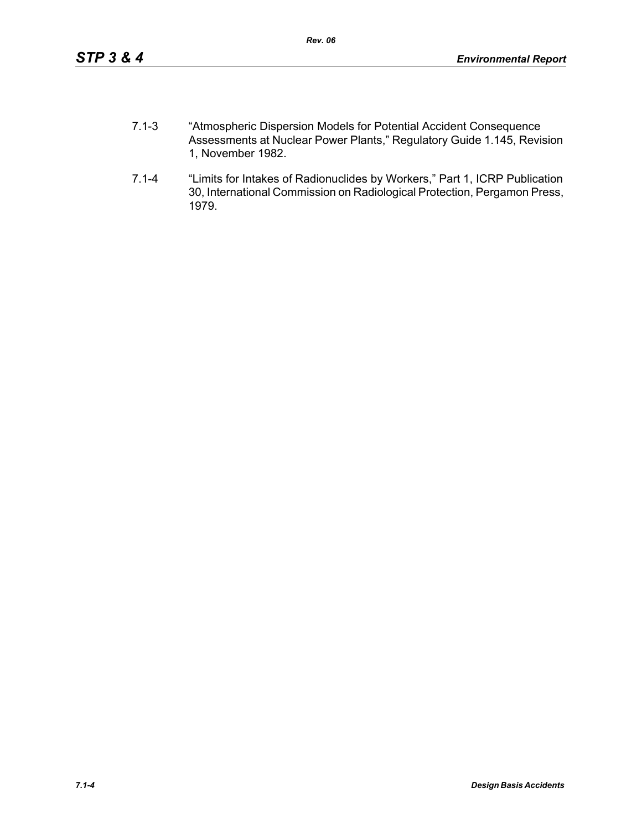- 7.1-3 "Atmospheric Dispersion Models for Potential Accident Consequence Assessments at Nuclear Power Plants," Regulatory Guide 1.145, Revision 1, November 1982.
- 7.1-4 "Limits for Intakes of Radionuclides by Workers," Part 1, ICRP Publication 30, International Commission on Radiological Protection, Pergamon Press, 1979.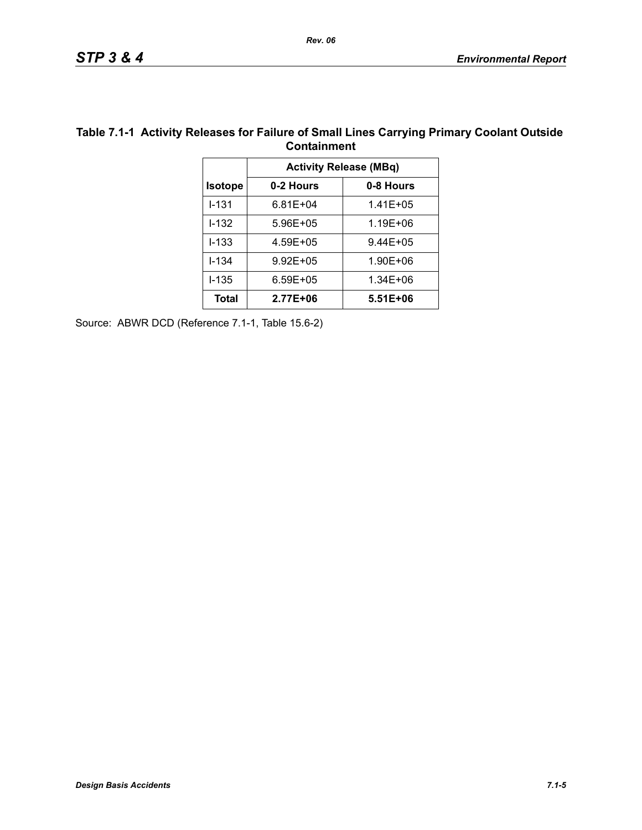| Containment    |                               |           |  |  |  |
|----------------|-------------------------------|-----------|--|--|--|
|                | <b>Activity Release (MBq)</b> |           |  |  |  |
| <b>Isotope</b> | 0-2 Hours                     | 0-8 Hours |  |  |  |
| $1 - 131$      | $6.81E + 04$                  | 1.41E+05  |  |  |  |
| $1 - 132$      | 5.96E+05                      | 1.19E+06  |  |  |  |
| $1 - 133$      | 4.59E+05                      | 9.44E+05  |  |  |  |
| $1 - 134$      | $9.92E + 05$                  | 1.90E+06  |  |  |  |
| $1 - 135$      | $6.59E + 05$                  | 1.34E+06  |  |  |  |
| <b>Total</b>   | 2.77E+06                      | 5.51E+06  |  |  |  |

### **Table 7.1-1 Activity Releases for Failure of Small Lines Carrying Primary Coolant Outside Containment**

Source: ABWR DCD (Reference 7.1-1, Table 15.6-2)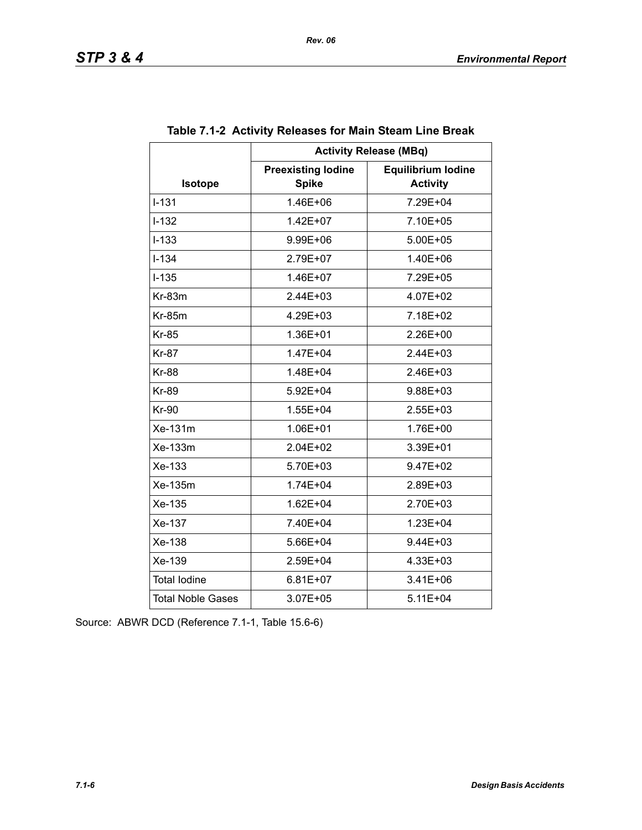|                          | <b>Activity Release (MBq)</b>             |                                              |  |  |  |  |
|--------------------------|-------------------------------------------|----------------------------------------------|--|--|--|--|
| <b>Isotope</b>           | <b>Preexisting lodine</b><br><b>Spike</b> | <b>Equilibrium lodine</b><br><b>Activity</b> |  |  |  |  |
| $I - 131$                | 1.46E+06                                  | 7.29E+04                                     |  |  |  |  |
| $I - 132$                | $1.42E + 07$                              | 7.10E+05                                     |  |  |  |  |
| $I - 133$                | 9.99E+06                                  | 5.00E+05                                     |  |  |  |  |
| $I - 134$                | 2.79E+07                                  | 1.40E+06                                     |  |  |  |  |
| $I-135$                  | 1.46E+07                                  | 7.29E+05                                     |  |  |  |  |
| $Kr-83m$                 | $2.44E + 03$                              | 4.07E+02                                     |  |  |  |  |
| $Kr-85m$                 | 4.29E+03                                  | 7.18E+02                                     |  |  |  |  |
| <b>Kr-85</b>             | 1.36E+01                                  | 2.26E+00                                     |  |  |  |  |
| <b>Kr-87</b>             | 1.47E+04                                  | 2.44E+03                                     |  |  |  |  |
| <b>Kr-88</b>             | 1.48E+04                                  | $2.46E + 03$                                 |  |  |  |  |
| <b>Kr-89</b>             | 5.92E+04                                  | 9.88E+03                                     |  |  |  |  |
| <b>Kr-90</b>             | 1.55E+04                                  | $2.55E + 03$                                 |  |  |  |  |
| Xe-131m                  | 1.06E+01                                  | 1.76E+00                                     |  |  |  |  |
| Xe-133m                  | $2.04E + 02$                              | $3.39E + 01$                                 |  |  |  |  |
| Xe-133                   | 5.70E+03                                  | 9.47E+02                                     |  |  |  |  |
| Xe-135m                  | $1.74E + 04$                              | 2.89E+03                                     |  |  |  |  |
| Xe-135                   | $1.62E + 04$                              | 2.70E+03                                     |  |  |  |  |
| Xe-137                   | 7.40E+04                                  | 1.23E+04                                     |  |  |  |  |
| Xe-138                   | 5.66E+04                                  | 9.44E+03                                     |  |  |  |  |
| Xe-139                   | 2.59E+04                                  | 4.33E+03                                     |  |  |  |  |
| <b>Total lodine</b>      | $6.81E + 07$                              | $3.41E + 06$                                 |  |  |  |  |
| <b>Total Noble Gases</b> | 3.07E+05                                  | $5.11E + 04$                                 |  |  |  |  |

# **Table 7.1-2 Activity Releases for Main Steam Line Break**

Source: ABWR DCD (Reference 7.1-1, Table 15.6-6)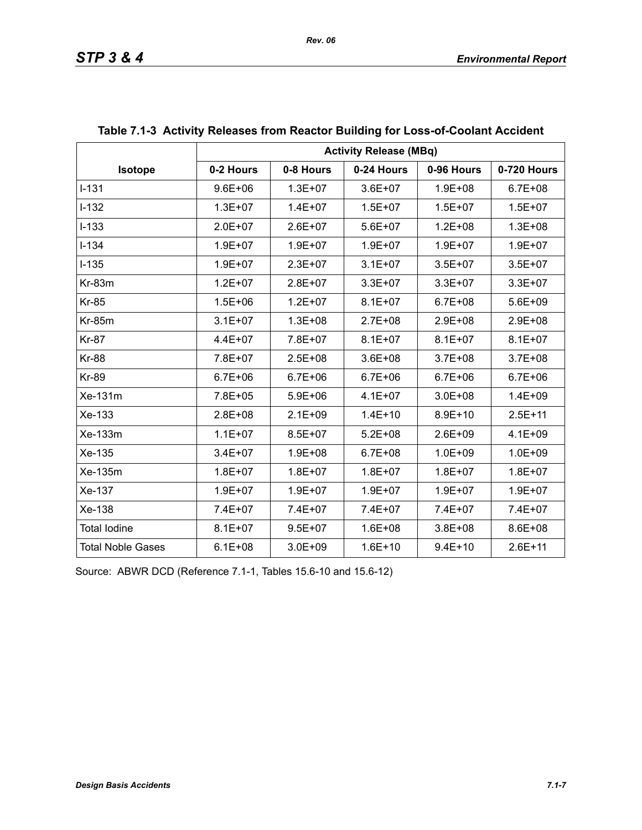|                          | <b>Activity Release (MBq)</b> |             |             |             |             |  |  |
|--------------------------|-------------------------------|-------------|-------------|-------------|-------------|--|--|
| Isotope                  | 0-2 Hours                     | 0-8 Hours   | 0-24 Hours  | 0-96 Hours  | 0-720 Hours |  |  |
| $I-131$                  | $9.6E + 06$                   | $1.3E + 07$ | $3.6E + 07$ | $1.9E + 08$ | $6.7E + 08$ |  |  |
| $I-132$                  | $1.3E + 07$                   | $1.4E + 07$ | $1.5E + 07$ | $1.5E + 07$ | $1.5E + 07$ |  |  |
| $I-133$                  | $2.0E + 07$                   | $2.6E + 07$ | $5.6E + 07$ | $1.2E + 08$ | $1.3E + 08$ |  |  |
| $I - 134$                | 1.9E+07                       | $1.9E + 07$ | $1.9E + 07$ | $1.9E + 07$ | $1.9E + 07$ |  |  |
| $I-135$                  | $1.9E + 07$                   | $2.3E + 07$ | $3.1E + 07$ | $3.5E + 07$ | $3.5E + 07$ |  |  |
| Kr-83m                   | $1.2E + 07$                   | $2.8E + 07$ | $3.3E + 07$ | $3.3E + 07$ | $3.3E + 07$ |  |  |
| <b>Kr-85</b>             | $1.5E + 06$                   | $1.2E + 07$ | $8.1E + 07$ | $6.7E + 08$ | 5.6E+09     |  |  |
| <b>Kr-85m</b>            | $3.1E + 07$                   | $1.3E + 08$ | 2.7E+08     | $2.9E + 08$ | 2.9E+08     |  |  |
| <b>Kr-87</b>             | $4.4E + 07$                   | 7.8E+07     | $8.1E + 07$ | $8.1E + 07$ | $8.1E + 07$ |  |  |
| <b>Kr-88</b>             | 7.8E+07                       | $2.5E + 08$ | $3.6E + 08$ | $3.7E + 08$ | $3.7E + 08$ |  |  |
| <b>Kr-89</b>             | $6.7E + 06$                   | $6.7E + 06$ | $6.7E + 06$ | $6.7E + 06$ | $6.7E + 06$ |  |  |
| Xe-131m                  | 7.8E+05                       | $5.9E + 06$ | $4.1E + 07$ | $3.0E + 08$ | $1.4E + 09$ |  |  |
| Xe-133                   | 2.8E+08                       | $2.1E + 09$ | $1.4E + 10$ | $8.9E + 10$ | $2.5E + 11$ |  |  |
| Xe-133m                  | $1.1E + 07$                   | $8.5E + 07$ | $5.2E + 08$ | $2.6E + 09$ | $4.1E + 09$ |  |  |
| Xe-135                   | $3.4E + 07$                   | $1.9E + 08$ | $6.7E + 08$ | $1.0E + 09$ | $1.0E + 09$ |  |  |
| Xe-135m                  | $1.8E + 07$                   | $1.8E + 07$ | $1.8E + 07$ | $1.8E + 07$ | $1.8E + 07$ |  |  |
| Xe-137                   | $1.9E + 07$                   | $1.9E + 07$ | $1.9E + 07$ | $1.9E + 07$ | $1.9E + 07$ |  |  |
| Xe-138                   | 7.4E+07                       | 7.4E+07     | 7.4E+07     | 7.4E+07     | 7.4E+07     |  |  |
| <b>Total lodine</b>      | $8.1E + 07$                   | $9.5E + 07$ | $1.6E + 08$ | $3.8E + 08$ | 8.6E+08     |  |  |
| <b>Total Noble Gases</b> | $6.1E + 08$                   | $3.0E + 09$ | $1.6E + 10$ | $9.4E + 10$ | $2.6E + 11$ |  |  |

# **Table 7.1-3 Activity Releases from Reactor Building for Loss-of-Coolant Accident**

Source: ABWR DCD (Reference 7.1-1, Tables 15.6-10 and 15.6-12)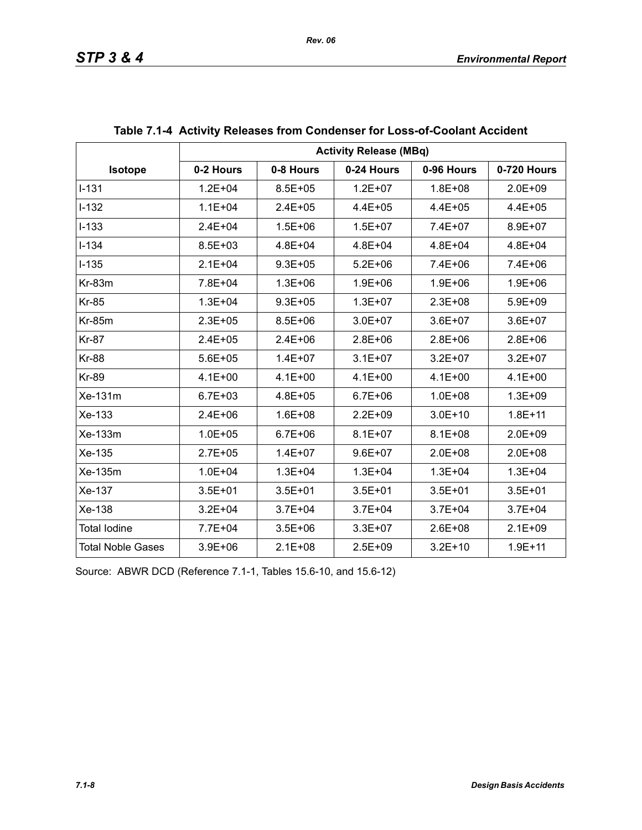|                          | <b>Activity Release (MBq)</b> |             |             |             |             |  |  |
|--------------------------|-------------------------------|-------------|-------------|-------------|-------------|--|--|
| <b>Isotope</b>           | 0-2 Hours                     | 0-8 Hours   | 0-24 Hours  | 0-96 Hours  | 0-720 Hours |  |  |
| $1 - 131$                | $1.2E + 04$                   | $8.5E + 05$ | $1.2E + 07$ | 1.8E+08     | $2.0E + 09$ |  |  |
| $I-132$                  | $1.1E + 04$                   | $2.4E + 05$ | $4.4E + 05$ | $4.4E + 05$ | $4.4E + 05$ |  |  |
| $I-133$                  | $2.4E + 04$                   | $1.5E + 06$ | $1.5E + 07$ | 7.4E+07     | 8.9E+07     |  |  |
| $I - 134$                | $8.5E + 03$                   | $4.8E + 04$ | $4.8E + 04$ | $4.8E + 04$ | $4.8E + 04$ |  |  |
| $I - 135$                | $2.1E + 04$                   | $9.3E + 05$ | $5.2E + 06$ | $7.4E + 06$ | 7.4E+06     |  |  |
| $Kr-83m$                 | 7.8E+04                       | $1.3E + 06$ | $1.9E + 06$ | $1.9E + 06$ | $1.9E + 06$ |  |  |
| <b>Kr-85</b>             | $1.3E + 04$                   | $9.3E + 05$ | $1.3E + 07$ | $2.3E + 08$ | $5.9E + 09$ |  |  |
| <b>Kr-85m</b>            | $2.3E + 05$                   | $8.5E + 06$ | $3.0E + 07$ | $3.6E + 07$ | $3.6E + 07$ |  |  |
| <b>Kr-87</b>             | $2.4E + 05$                   | $2.4E + 06$ | $2.8E + 06$ | $2.8E + 06$ | $2.8E + 06$ |  |  |
| <b>Kr-88</b>             | $5.6E + 05$                   | $1.4E + 07$ | $3.1E + 07$ | $3.2E + 07$ | $3.2E + 07$ |  |  |
| Kr-89                    | $4.1E + 00$                   | $4.1E + 00$ | $4.1E + 00$ | $4.1E + 00$ | $4.1E + 00$ |  |  |
| Xe-131m                  | $6.7E + 03$                   | $4.8E + 05$ | $6.7E + 06$ | $1.0E + 08$ | $1.3E + 09$ |  |  |
| Xe-133                   | $2.4E + 06$                   | $1.6E + 08$ | $2.2E + 09$ | $3.0E + 10$ | $1.8E + 11$ |  |  |
| Xe-133m                  | $1.0E + 05$                   | $6.7E + 06$ | $8.1E + 07$ | $8.1E + 08$ | $2.0E + 09$ |  |  |
| Xe-135                   | $2.7E + 05$                   | $1.4E + 07$ | $9.6E + 07$ | $2.0E + 08$ | $2.0E + 08$ |  |  |
| Xe-135m                  | $1.0E + 04$                   | $1.3E + 04$ | $1.3E + 04$ | $1.3E + 04$ | $1.3E + 04$ |  |  |
| Xe-137                   | $3.5E + 01$                   | $3.5E + 01$ | $3.5E + 01$ | $3.5E + 01$ | $3.5E + 01$ |  |  |
| Xe-138                   | $3.2E + 04$                   | $3.7E + 04$ | $3.7E + 04$ | $3.7E + 04$ | $3.7E + 04$ |  |  |
| <b>Total lodine</b>      | 7.7E+04                       | $3.5E + 06$ | $3.3E + 07$ | $2.6E + 08$ | $2.1E + 09$ |  |  |
| <b>Total Noble Gases</b> | $3.9E + 06$                   | $2.1E + 08$ | $2.5E + 09$ | $3.2E + 10$ | $1.9E + 11$ |  |  |

| Table 7.1-4 Activity Releases from Condenser for Loss-of-Coolant Accident |  |  |
|---------------------------------------------------------------------------|--|--|
|                                                                           |  |  |

Source: ABWR DCD (Reference 7.1-1, Tables 15.6-10, and 15.6-12)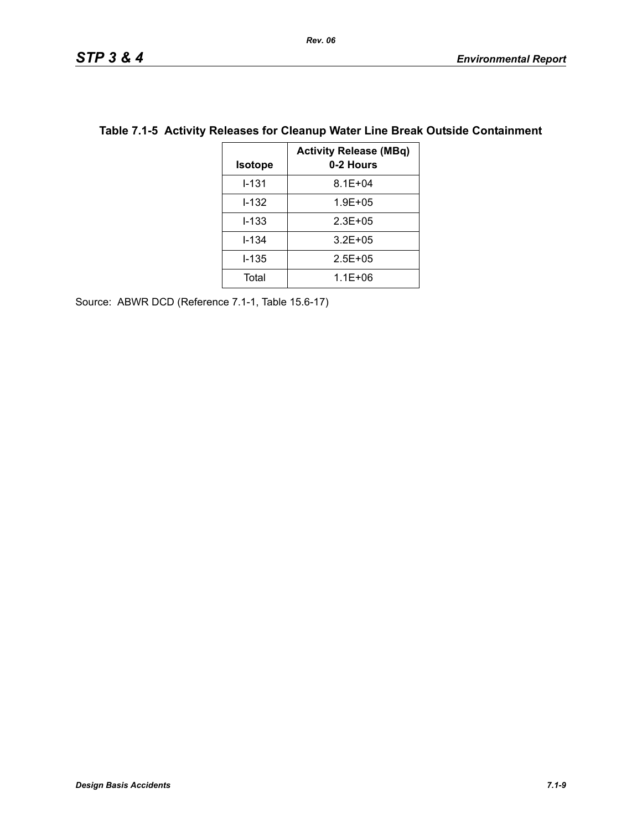| <b>Isotope</b> | <b>Activity Release (MBq)</b><br>0-2 Hours |
|----------------|--------------------------------------------|
| $1 - 131$      | $8.1E + 04$                                |
| I-132          | $1.9E + 05$                                |
| $1 - 133$      | $2.3E + 0.5$                               |
| $1 - 134$      | $3.2E + 05$                                |
| I-135          | $2.5E + 0.5$                               |
| Total          | $1.1E + 06$                                |

# **Table 7.1-5 Activity Releases for Cleanup Water Line Break Outside Containment**

Source: ABWR DCD (Reference 7.1-1, Table 15.6-17)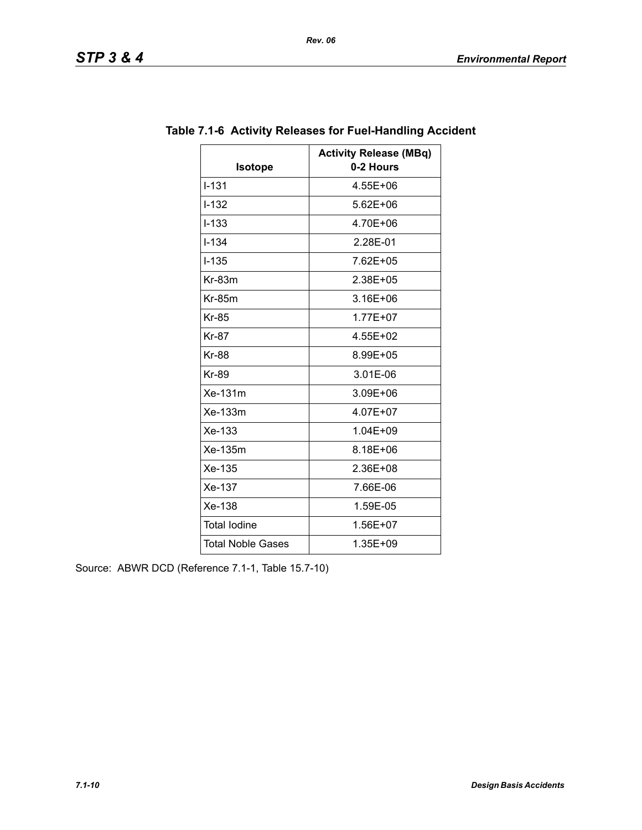|                          | <b>Activity Release (MBq)</b> |
|--------------------------|-------------------------------|
| <b>Isotope</b>           | 0-2 Hours                     |
| $I - 131$                | 4.55E+06                      |
| $I-132$                  | $5.62E + 06$                  |
| $I-133$                  | 4.70E+06                      |
| $I - 134$                | 2.28E-01                      |
| $I - 135$                | 7.62E+05                      |
| $Kr-83m$                 | 2.38E+05                      |
| $Kr-85m$                 | 3.16E+06                      |
| <b>Kr-85</b>             | $1.77E + 07$                  |
| <b>Kr-87</b>             | 4.55E+02                      |
| <b>Kr-88</b>             | 8.99E+05                      |
| <b>Kr-89</b>             | 3.01E-06                      |
| Xe-131m                  | 3.09E+06                      |
| Xe-133m                  | 4.07E+07                      |
| Xe-133                   | 1.04E+09                      |
| Xe-135m                  | 8.18E+06                      |
| Xe-135                   | 2.36E+08                      |
| Xe-137                   | 7.66E-06                      |
| Xe-138                   | 1.59E-05                      |
| <b>Total lodine</b>      | 1.56E+07                      |
| <b>Total Noble Gases</b> | 1.35E+09                      |

## **Table 7.1-6 Activity Releases for Fuel-Handling Accident**

Source: ABWR DCD (Reference 7.1-1, Table 15.7-10)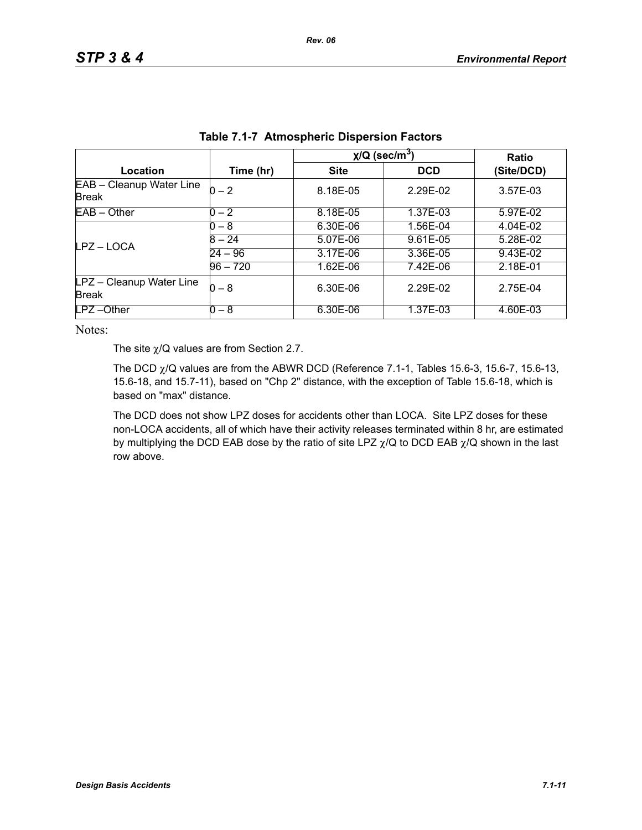|                                          |            | $\chi$ /Q (sec/m <sup>3</sup> ) | <b>Ratio</b> |            |
|------------------------------------------|------------|---------------------------------|--------------|------------|
| Location                                 | Time (hr)  | <b>Site</b>                     | <b>DCD</b>   | (Site/DCD) |
| EAB - Cleanup Water Line<br><b>Break</b> | $0 - 2$    | 8.18E-05                        | 2.29E-02     | 3.57E-03   |
| $EAB - Other$                            | $0 - 2$    | 8.18E-05                        | 1.37E-03     | 5.97E-02   |
|                                          | $0 - 8$    | 6.30E-06                        | 1.56E-04     | 4.04E-02   |
| LPZ-LOCA                                 | $8 - 24$   | 5.07E-06                        | 9.61E-05     | 5.28E-02   |
|                                          | $24 - 96$  | 3.17E-06                        | 3.36E-05     | 9.43E-02   |
|                                          | $96 - 720$ | 1.62E-06                        | 7.42E-06     | 2.18E-01   |
| LPZ - Cleanup Water Line<br><b>Break</b> | $0 - 8$    | 6.30E-06                        | 2.29E-02     | 2.75E-04   |
| $LPZ - Other$                            | $0 - 8$    | 6.30E-06                        | 1.37E-03     | 4.60E-03   |

| Table 7.1-7 Atmospheric Dispersion Factors |
|--------------------------------------------|
|--------------------------------------------|

The site  $\chi$ /Q values are from Section 2.7.

The DCD  $\chi$ /Q values are from the ABWR DCD (Reference 7.1-1, Tables 15.6-3, 15.6-7, 15.6-13, 15.6-18, and 15.7-11), based on "Chp 2" distance, with the exception of Table 15.6-18, which is based on "max" distance.

The DCD does not show LPZ doses for accidents other than LOCA. Site LPZ doses for these non-LOCA accidents, all of which have their activity releases terminated within 8 hr, are estimated by multiplying the DCD EAB dose by the ratio of site LPZ  $\chi$ /Q to DCD EAB  $\chi$ /Q shown in the last row above.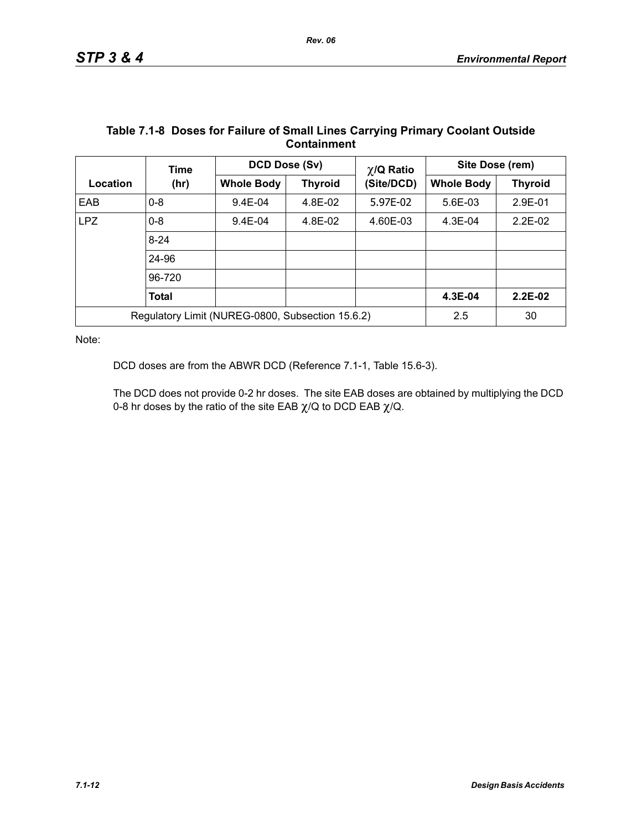|                                                  | Time         | DCD Dose (Sv)     |                | $\chi$ /Q Ratio | Site Dose (rem) |                |
|--------------------------------------------------|--------------|-------------------|----------------|-----------------|-----------------|----------------|
| Location                                         | (hr)         | <b>Whole Body</b> | <b>Thyroid</b> | (Site/DCD)      |                 | <b>Thyroid</b> |
| EAB                                              | $0 - 8$      | $9.4E - 04$       | 4.8E-02        | 5.97E-02        | 5.6E-03         | 2.9E-01        |
| <b>LPZ</b>                                       | $0 - 8$      | $9.4E - 04$       | 4.8E-02        | 4.60E-03        | $4.3E-04$       | $2.2E-02$      |
|                                                  | $8 - 24$     |                   |                |                 |                 |                |
|                                                  | 24-96        |                   |                |                 |                 |                |
|                                                  | 96-720       |                   |                |                 |                 |                |
|                                                  | <b>Total</b> |                   |                |                 | 4.3E-04         | $2.2E-02$      |
| Regulatory Limit (NUREG-0800, Subsection 15.6.2) |              |                   |                |                 | 2.5             | 30             |

#### **Table 7.1-8 Doses for Failure of Small Lines Carrying Primary Coolant Outside Containment**

Note:

DCD doses are from the ABWR DCD (Reference 7.1-1, Table 15.6-3).

The DCD does not provide 0-2 hr doses. The site EAB doses are obtained by multiplying the DCD 0-8 hr doses by the ratio of the site EAB  $\chi$ /Q to DCD EAB  $\chi$ /Q.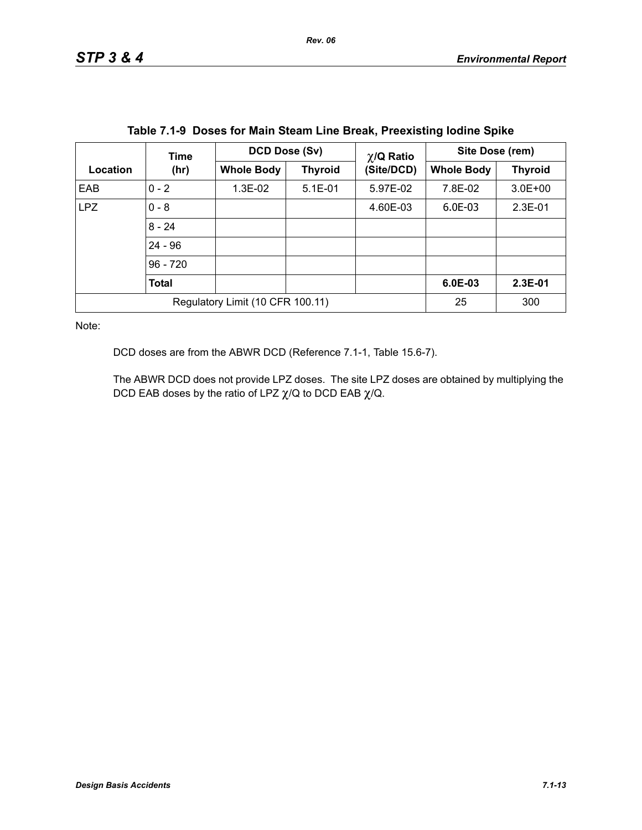|                                  | Time         | <b>DCD Dose (Sv)</b> |                | $\chi$ /Q Ratio | Site Dose (rem)   |                |
|----------------------------------|--------------|----------------------|----------------|-----------------|-------------------|----------------|
| Location                         | (hr)         | <b>Whole Body</b>    | <b>Thyroid</b> | (Site/DCD)      | <b>Whole Body</b> | <b>Thyroid</b> |
| EAB                              | $0 - 2$      | 1.3E-02              | $5.1E-01$      | 5.97E-02        | 7.8E-02           | $3.0E + 00$    |
| <b>LPZ</b>                       | $0 - 8$      |                      |                | 4.60E-03        | 6.0E-03           | $2.3E-01$      |
|                                  | $8 - 24$     |                      |                |                 |                   |                |
|                                  | $24 - 96$    |                      |                |                 |                   |                |
|                                  | $96 - 720$   |                      |                |                 |                   |                |
|                                  | <b>Total</b> |                      |                |                 | 6.0E-03           | 2.3E-01        |
| Regulatory Limit (10 CFR 100.11) |              |                      |                |                 | 25                | 300            |

DCD doses are from the ABWR DCD (Reference 7.1-1, Table 15.6-7).

The ABWR DCD does not provide LPZ doses. The site LPZ doses are obtained by multiplying the DCD EAB doses by the ratio of LPZ  $\chi$ /Q to DCD EAB  $\chi$ /Q.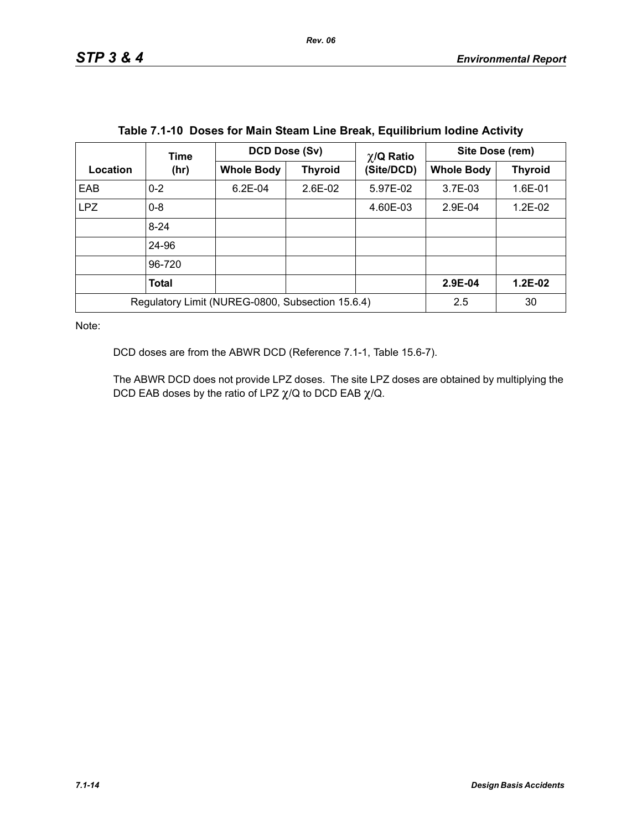|                                                  | Time     | DCD Dose (Sv)     |                | $\chi$ /Q Ratio | Site Dose (rem)   |                |  |
|--------------------------------------------------|----------|-------------------|----------------|-----------------|-------------------|----------------|--|
| Location                                         | (hr)     | <b>Whole Body</b> | <b>Thyroid</b> | (Site/DCD)      | <b>Whole Body</b> | <b>Thyroid</b> |  |
| EAB                                              | $0 - 2$  | $6.2E-04$         | $2.6E-02$      | 5.97E-02        | $3.7E-03$         | 1.6E-01        |  |
| <b>LPZ</b>                                       | $0 - 8$  |                   |                | 4.60E-03        | 2.9E-04           | $1.2E-02$      |  |
|                                                  | $8 - 24$ |                   |                |                 |                   |                |  |
|                                                  | 24-96    |                   |                |                 |                   |                |  |
|                                                  | 96-720   |                   |                |                 |                   |                |  |
|                                                  | Total    |                   |                |                 | 2.9E-04           | $1.2E-02$      |  |
| Regulatory Limit (NUREG-0800, Subsection 15.6.4) |          |                   | 2.5            | 30              |                   |                |  |

DCD doses are from the ABWR DCD (Reference 7.1-1, Table 15.6-7).

The ABWR DCD does not provide LPZ doses. The site LPZ doses are obtained by multiplying the DCD EAB doses by the ratio of LPZ  $\chi$ /Q to DCD EAB  $\chi$ /Q.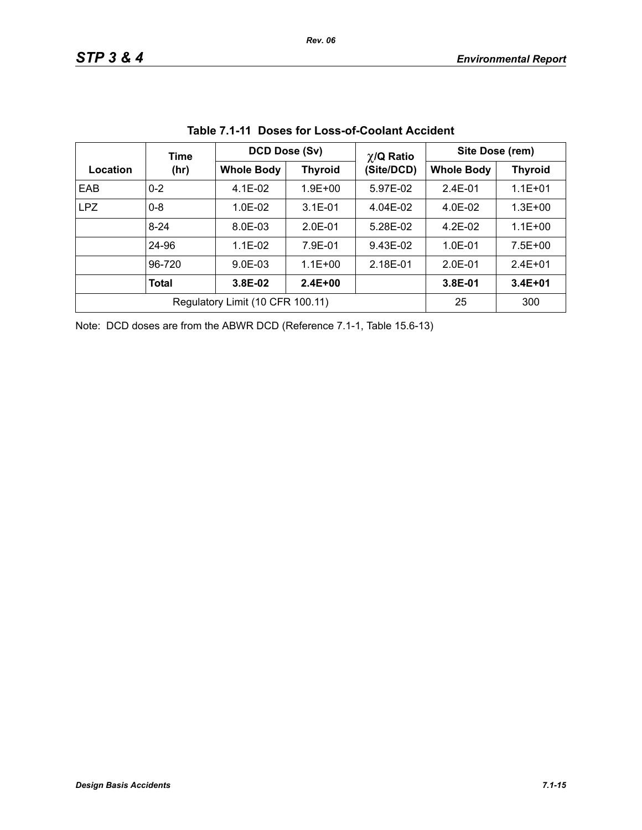|            | Time                             | DCD Dose (Sv)     |                | $\chi$ /Q Ratio | Site Dose (rem) |                |  |
|------------|----------------------------------|-------------------|----------------|-----------------|-----------------|----------------|--|
| Location   | (hr)                             | <b>Whole Body</b> | <b>Thyroid</b> | (Site/DCD)      |                 | <b>Thyroid</b> |  |
| EAB        | $0 - 2$                          | $4.1E-02$         | $1.9E + 00$    | 5.97E-02        | $2.4E - 01$     | $1.1E + 01$    |  |
| <b>LPZ</b> | $0 - 8$                          | $1.0F - 02$       | $3.1E - 01$    | 4.04E-02        | $4.0E-02$       | $1.3E + 00$    |  |
|            | $8 - 24$                         | 8.0E-03           | $2.0E-01$      | 5.28E-02        | $4.2E-02$       | $1.1E + 00$    |  |
|            | 24-96                            | $1.1E - 02$       | 7.9E-01        | 9.43E-02        | $1.0E - 01$     | $7.5E + 00$    |  |
|            | 96-720                           | $9.0E - 03$       | $1.1E + 00$    | 2.18E-01        | $2.0E-01$       | $2.4E + 01$    |  |
|            | <b>Total</b>                     | 3.8E-02           | $2.4E + 00$    |                 | $3.8E-01$       | $3.4E + 01$    |  |
|            | Regulatory Limit (10 CFR 100.11) | 25                | 300            |                 |                 |                |  |

|  |  | Table 7.1-11 Doses for Loss-of-Coolant Accident |  |
|--|--|-------------------------------------------------|--|
|--|--|-------------------------------------------------|--|

Note: DCD doses are from the ABWR DCD (Reference 7.1-1, Table 15.6-13)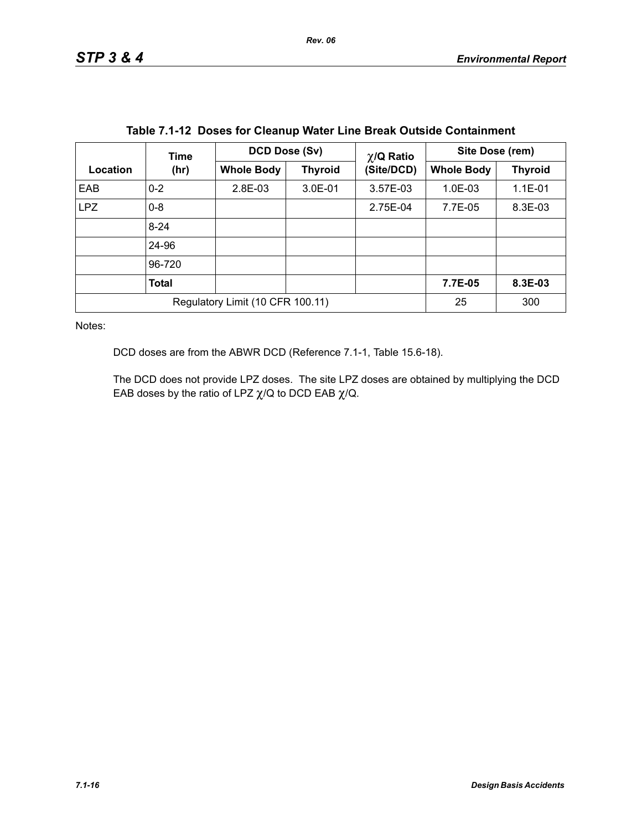|                                  | Time         | DCD Dose (Sv)     |                | $\chi$ /Q Ratio | Site Dose (rem)   |                |
|----------------------------------|--------------|-------------------|----------------|-----------------|-------------------|----------------|
| Location                         | (hr)         | <b>Whole Body</b> | <b>Thyroid</b> | (Site/DCD)      | <b>Whole Body</b> | <b>Thyroid</b> |
| EAB                              | $0 - 2$      | 2.8E-03           | 3.0E-01        | 3.57E-03        | $1.0E-03$         | 1.1E-01        |
| <b>LPZ</b>                       | $0 - 8$      |                   |                | 2.75E-04        | 7.7E-05           | 8.3E-03        |
|                                  | $8 - 24$     |                   |                |                 |                   |                |
|                                  | 24-96        |                   |                |                 |                   |                |
|                                  | 96-720       |                   |                |                 |                   |                |
|                                  | <b>Total</b> |                   |                |                 | 7.7E-05           | 8.3E-03        |
| Regulatory Limit (10 CFR 100.11) |              |                   |                |                 | 25                | 300            |

|  |  |  |  |  |  | Table 7.1-12 Doses for Cleanup Water Line Break Outside Containment |
|--|--|--|--|--|--|---------------------------------------------------------------------|
|--|--|--|--|--|--|---------------------------------------------------------------------|

DCD doses are from the ABWR DCD (Reference 7.1-1, Table 15.6-18).

The DCD does not provide LPZ doses. The site LPZ doses are obtained by multiplying the DCD EAB doses by the ratio of LPZ  $\chi$ /Q to DCD EAB  $\chi$ /Q.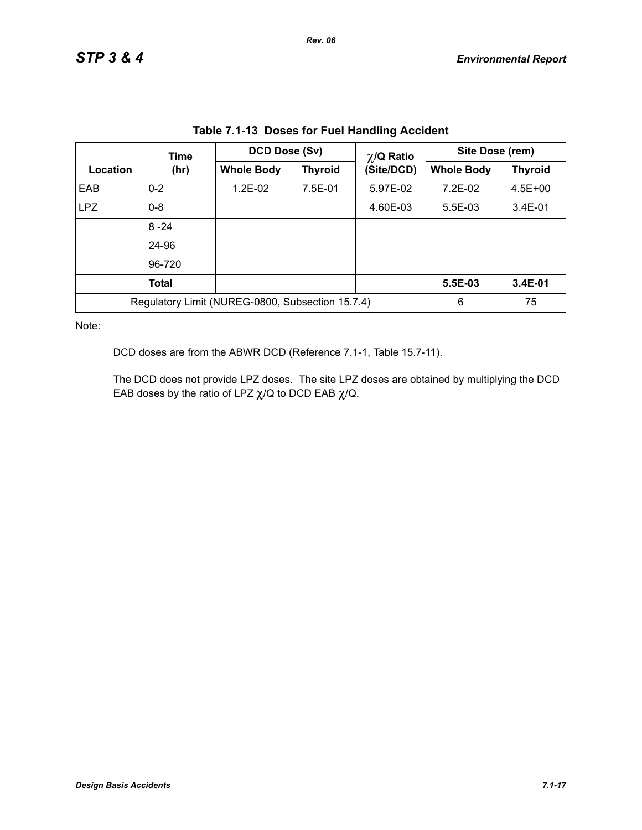| Table 7.1-13 Doses for Fuel Handling Accident |                                                  |                                     |            |                   |                 |             |  |
|-----------------------------------------------|--------------------------------------------------|-------------------------------------|------------|-------------------|-----------------|-------------|--|
|                                               | Time                                             | DCD Dose (Sv)                       |            | $\chi$ /Q Ratio   | Site Dose (rem) |             |  |
| Location                                      | (hr)                                             | <b>Whole Body</b><br><b>Thyroid</b> | (Site/DCD) | <b>Whole Body</b> | <b>Thyroid</b>  |             |  |
| EAB                                           | $0 - 2$                                          | 1.2E-02                             | 7.5E-01    | 5.97E-02          | 7.2E-02         | $4.5E + 00$ |  |
| <b>LPZ</b>                                    | $0 - 8$                                          |                                     |            | 4.60E-03          | $5.5E-03$       | $3.4E-01$   |  |
|                                               | $8 - 24$                                         |                                     |            |                   |                 |             |  |
|                                               | 24-96                                            |                                     |            |                   |                 |             |  |
|                                               | 96-720                                           |                                     |            |                   |                 |             |  |
|                                               | <b>Total</b>                                     |                                     |            |                   | 5.5E-03         | 3.4E-01     |  |
|                                               | Regulatory Limit (NUREG-0800, Subsection 15.7.4) | 6                                   | 75         |                   |                 |             |  |

**Table 7.1-13 Doses for Fuel Handling Accident**

DCD doses are from the ABWR DCD (Reference 7.1-1, Table 15.7-11).

The DCD does not provide LPZ doses. The site LPZ doses are obtained by multiplying the DCD EAB doses by the ratio of LPZ  $\chi$ /Q to DCD EAB  $\chi$ /Q.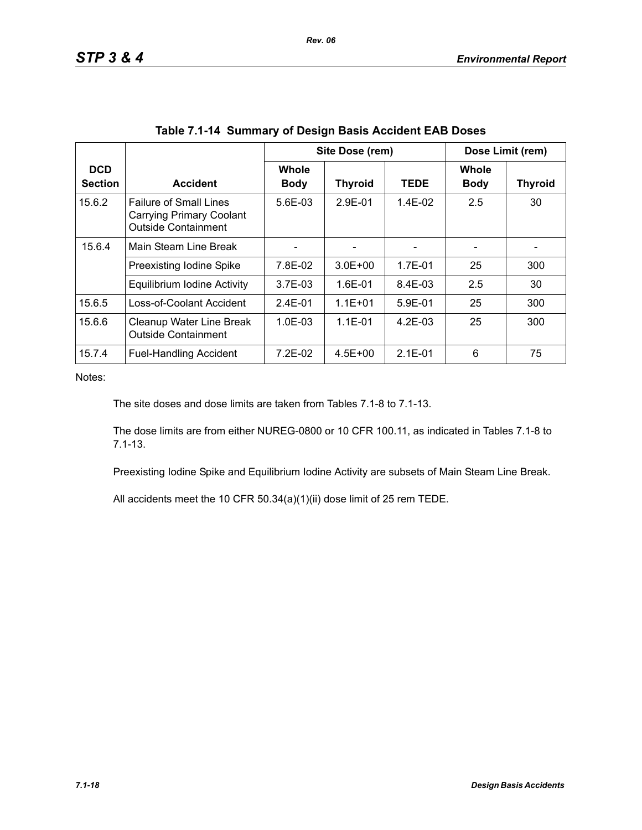|                              |                                                                                                |                             | Site Dose (rem) |             |                             | Dose Limit (rem) |  |  |
|------------------------------|------------------------------------------------------------------------------------------------|-----------------------------|-----------------|-------------|-----------------------------|------------------|--|--|
| <b>DCD</b><br><b>Section</b> | <b>Accident</b>                                                                                | <b>Whole</b><br><b>Body</b> | <b>Thyroid</b>  | <b>TEDE</b> | <b>Whole</b><br><b>Body</b> | <b>Thyroid</b>   |  |  |
| 15.6.2                       | <b>Failure of Small Lines</b><br><b>Carrying Primary Coolant</b><br><b>Outside Containment</b> | $5.6E - 0.3$                | $2.9F - 01$     | $1.4F-02$   | 2.5                         | 30               |  |  |
| 15.6.4                       | Main Steam Line Break                                                                          |                             |                 |             |                             |                  |  |  |
|                              | Preexisting Iodine Spike                                                                       | 7.8E-02                     | $3.0E + 00$     | 1.7E-01     | 25                          | 300              |  |  |
|                              | Equilibrium Iodine Activity                                                                    | $3.7E-03$                   | $1.6E - 01$     | 8.4E-03     | 2.5                         | 30               |  |  |
| 15.6.5                       | Loss-of-Coolant Accident                                                                       | $2.4E - 01$                 | $1.1E + 01$     | $5.9E-01$   | 25                          | 300              |  |  |
| 15.6.6                       | Cleanup Water Line Break<br><b>Outside Containment</b>                                         | $1.0E - 0.3$                | $1.1E - 01$     | $4.2F-0.3$  | 25                          | 300              |  |  |
| 15.7.4                       | <b>Fuel-Handling Accident</b>                                                                  | $7.2E-02$                   | $4.5E + 00$     | $2.1E - 01$ | 6                           | 75               |  |  |

The site doses and dose limits are taken from Tables 7.1-8 to 7.1-13.

The dose limits are from either NUREG-0800 or 10 CFR 100.11, as indicated in Tables 7.1-8 to 7.1-13.

Preexisting Iodine Spike and Equilibrium Iodine Activity are subsets of Main Steam Line Break.

All accidents meet the 10 CFR 50.34(a)(1)(ii) dose limit of 25 rem TEDE.